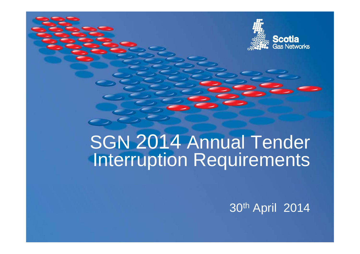

# SGN 2014 Annual Tender Interruption Requirements

30th April 2014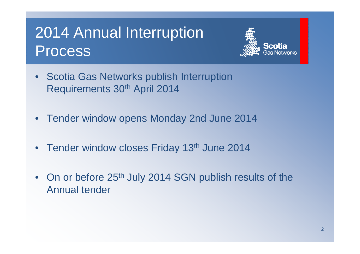#### 2014 Annual Interru ption Process



- Scotia Gas Networks publish Interruption Requirements 30th April 2014
- $\bullet$ Tender window opens Monday 2nd June 2014
- Tender window closes Friday 13<sup>th</sup> June 2014
- On or before 25<sup>th</sup> July 2014 SGN publish results of the Annual tender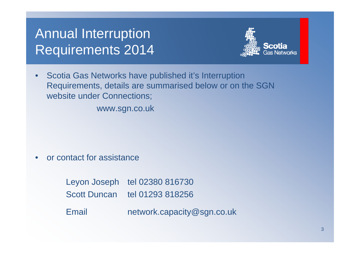#### Annual Interruption Requirements 2014



• Scotia Gas Networks have published it's Interruption Requirements, details are summarised below or on the SGN website under Connections;

www.sgn.co.uk

•or contact for assistance

> Leyon Joseph tel 02380 816730 Scott Duncan tel 01293 818256 Email network capacity@sgn co uk network.capacity@sgn.co.uk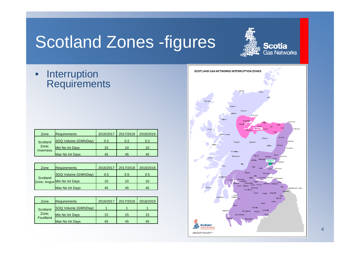## Scotland Zones -figures

**Scotia**<br>Gas Networks

•**Interruption** Requirements

| Zone                           | <b>Requirements</b>  | 2016/2017 | 2017/2018 | 2018/2019 |
|--------------------------------|----------------------|-----------|-----------|-----------|
| Scotland<br>Zone;<br>Inverness | SOQ Volume (GWh/Day) | 0.2       | 0.2       | 0.2       |
|                                | Min No Int Davs      | 10        | 10        | 10        |
|                                | Max No Int Days      | 45        | 45        | 45        |

| Zone                                    | <b>Requirements</b>    | 2016/2017 | 2017/2018 | 2018/2019 |
|-----------------------------------------|------------------------|-----------|-----------|-----------|
| Scotland<br>Zone; Angus Min No Int Days | SOQ Volume (GWh/Day)   | 0.5       | 0.5       | 0.5       |
|                                         |                        | 10        | 10        | 10        |
|                                         | <b>Max No Int Days</b> | 45        | 45        | 45        |

| Zone                                 | <b>Requirements</b>    | 2016/2017 | 2017/2018 | 2018/2019 |
|--------------------------------------|------------------------|-----------|-----------|-----------|
| Scotland<br>Zone;<br><b>Foudland</b> | SOQ Volume (GWh/Day)   |           |           |           |
|                                      | Min No Int Days        | 15        | 15        | 15        |
|                                      | <b>Max No Int Davs</b> | 45        | 45        | 45        |